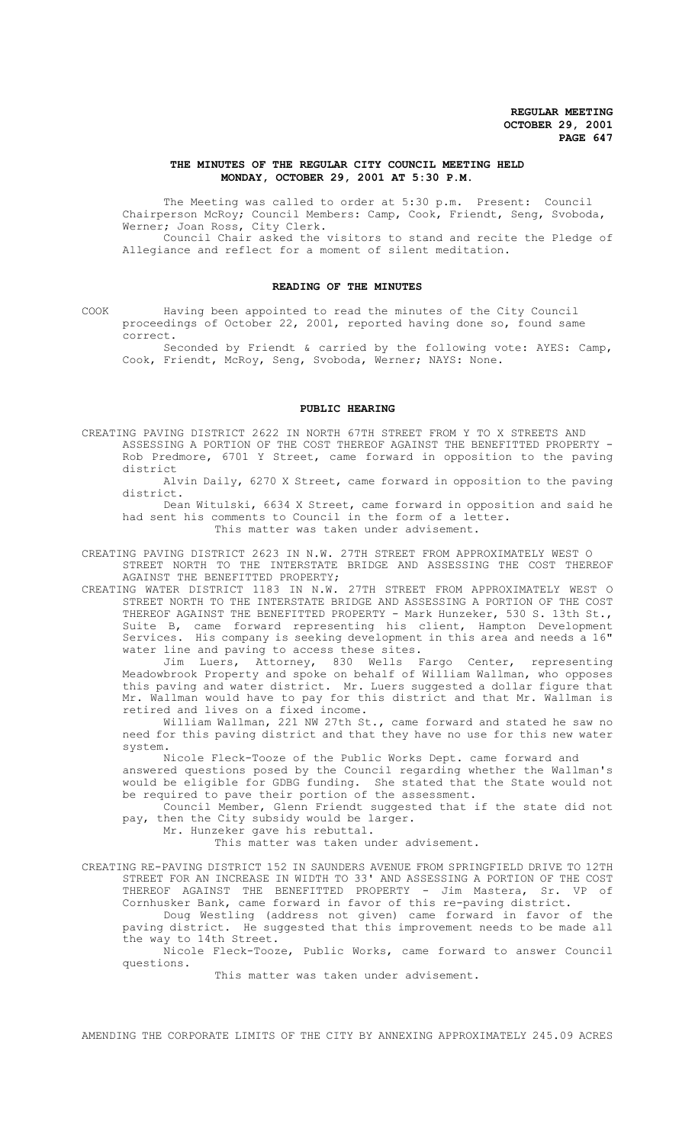## **THE MINUTES OF THE REGULAR CITY COUNCIL MEETING HELD MONDAY, OCTOBER 29, 2001 AT 5:30 P.M.**

The Meeting was called to order at 5:30 p.m. Present: Council Chairperson McRoy; Council Members: Camp, Cook, Friendt, Seng, Svoboda, Werner; Joan Ross, City Clerk.

Council Chair asked the visitors to stand and recite the Pledge of Allegiance and reflect for a moment of silent meditation.

# **READING OF THE MINUTES**

COOK Having been appointed to read the minutes of the City Council proceedings of October 22, 2001, reported having done so, found same correct.

Seconded by Friendt & carried by the following vote: AYES: Camp, Cook, Friendt, McRoy, Seng, Svoboda, Werner; NAYS: None.

#### **PUBLIC HEARING**

CREATING PAVING DISTRICT 2622 IN NORTH 67TH STREET FROM Y TO X STREETS AND ASSESSING A PORTION OF THE COST THEREOF AGAINST THE BENEFITTED PROPERTY - Rob Predmore, 6701 Y Street, came forward in opposition to the paving district

Alvin Daily, 6270 X Street, came forward in opposition to the paving district.

Dean Witulski, 6634 X Street, came forward in opposition and said he had sent his comments to Council in the form of a letter. This matter was taken under advisement.

CREATING PAVING DISTRICT 2623 IN N.W. 27TH STREET FROM APPROXIMATELY WEST O STREET NORTH TO THE INTERSTATE BRIDGE AND ASSESSING THE COST THEREOF AGAINST THE BENEFITTED PROPERTY;

CREATING WATER DISTRICT 1183 IN N.W. 27TH STREET FROM APPROXIMATELY WEST O STREET NORTH TO THE INTERSTATE BRIDGE AND ASSESSING A PORTION OF THE COST THEREOF AGAINST THE BENEFITTED PROPERTY - Mark Hunzeker, 530 S. 13th St., Suite B, came forward representing his client, Hampton Development Services. His company is seeking development in this area and needs a 16" water line and paving to access these sites.

Jim Luers, Attorney, 830 Wells Fargo Center, representing Meadowbrook Property and spoke on behalf of William Wallman, who opposes this paving and water district. Mr. Luers suggested a dollar figure that Mr. Wallman would have to pay for this district and that Mr. Wallman is retired and lives on a fixed income.

William Wallman, 221 NW 27th St., came forward and stated he saw no need for this paving district and that they have no use for this new water system.

 Nicole Fleck-Tooze of the Public Works Dept. came forward and answered questions posed by the Council regarding whether the Wallman's

would be eligible for GDBG funding. She stated that the State would not be required to pave their portion of the assessment.

Council Member, Glenn Friendt suggested that if the state did not pay, then the City subsidy would be larger.

Mr. Hunzeker gave his rebuttal.

This matter was taken under advisement.

CREATING RE-PAVING DISTRICT 152 IN SAUNDERS AVENUE FROM SPRINGFIELD DRIVE TO 12TH STREET FOR AN INCREASE IN WIDTH TO 33' AND ASSESSING A PORTION OF THE COST THEREOF AGAINST THE BENEFITTED PROPERTY - Jim Mastera, Sr. VP of Cornhusker Bank, came forward in favor of this re-paving district.

Doug Westling (address not given) came forward in favor of the paving district. He suggested that this improvement needs to be made all the way to 14th Street.

Nicole Fleck-Tooze, Public Works, came forward to answer Council questions.

This matter was taken under advisement.

AMENDING THE CORPORATE LIMITS OF THE CITY BY ANNEXING APPROXIMATELY 245.09 ACRES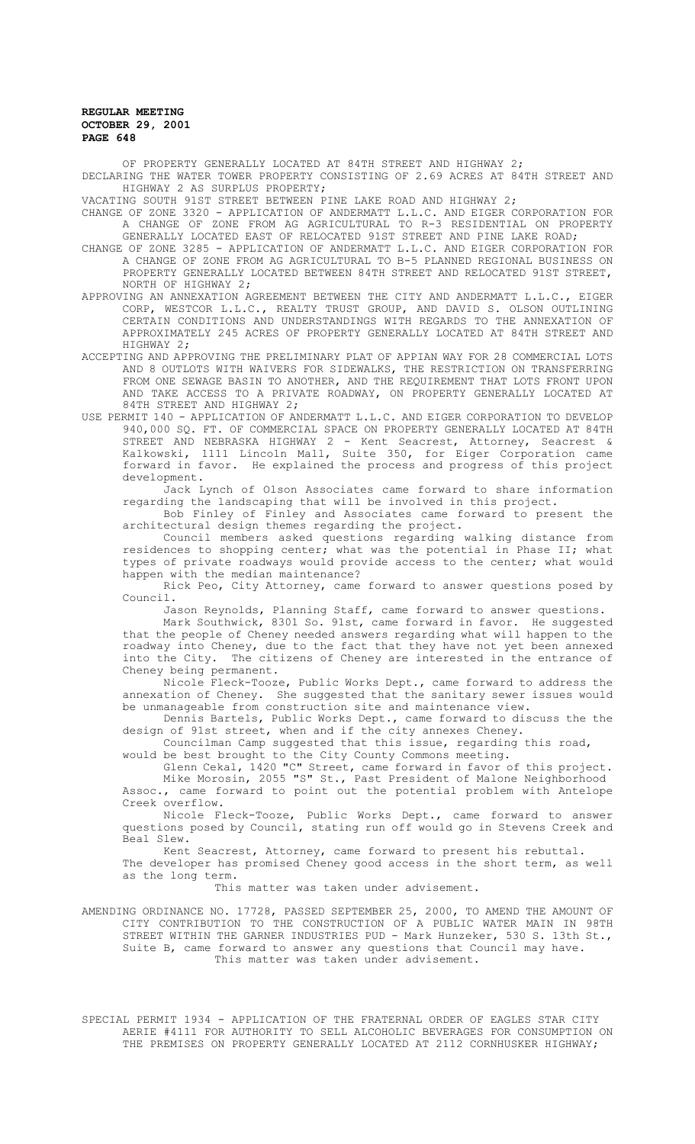OF PROPERTY GENERALLY LOCATED AT 84TH STREET AND HIGHWAY 2; DECLARING THE WATER TOWER PROPERTY CONSISTING OF 2.69 ACRES AT 84TH STREET AND HIGHWAY 2 AS SURPLUS PROPERTY;

VACATING SOUTH 91ST STREET BETWEEN PINE LAKE ROAD AND HIGHWAY 2;

- CHANGE OF ZONE 3320 APPLICATION OF ANDERMATT L.L.C. AND EIGER CORPORATION FOR A CHANGE OF ZONE FROM AG AGRICULTURAL TO R-3 RESIDENTIAL ON PROPERTY GENERALLY LOCATED EAST OF RELOCATED 91ST STREET AND PINE LAKE ROAD;
- CHANGE OF ZONE 3285 APPLICATION OF ANDERMATT L.L.C. AND EIGER CORPORATION FOR A CHANGE OF ZONE FROM AG AGRICULTURAL TO B-5 PLANNED REGIONAL BUSINESS ON PROPERTY GENERALLY LOCATED BETWEEN 84TH STREET AND RELOCATED 91ST STREET, NORTH OF HIGHWAY 2;
- APPROVING AN ANNEXATION AGREEMENT BETWEEN THE CITY AND ANDERMATT L.L.C., EIGER CORP, WESTCOR L.L.C., REALTY TRUST GROUP, AND DAVID S. OLSON OUTLINING CERTAIN CONDITIONS AND UNDERSTANDINGS WITH REGARDS TO THE ANNEXATION OF APPROXIMATELY 245 ACRES OF PROPERTY GENERALLY LOCATED AT 84TH STREET AND HIGHWAY 2;
- ACCEPTING AND APPROVING THE PRELIMINARY PLAT OF APPIAN WAY FOR 28 COMMERCIAL LOTS AND 8 OUTLOTS WITH WAIVERS FOR SIDEWALKS, THE RESTRICTION ON TRANSFERRING FROM ONE SEWAGE BASIN TO ANOTHER, AND THE REQUIREMENT THAT LOTS FRONT UPON AND TAKE ACCESS TO A PRIVATE ROADWAY, ON PROPERTY GENERALLY LOCATED AT 84TH STREET AND HIGHWAY 2;
- USE PERMIT 140 APPLICATION OF ANDERMATT L.L.C. AND EIGER CORPORATION TO DEVELOP 940,000 SQ. FT. OF COMMERCIAL SPACE ON PROPERTY GENERALLY LOCATED AT 84TH STREET AND NEBRASKA HIGHWAY 2 - Kent Seacrest, Attorney, Seacrest & Kalkowski, 1111 Lincoln Mall, Suite 350, for Eiger Corporation came forward in favor. He explained the process and progress of this project development.

Jack Lynch of Olson Associates came forward to share information regarding the landscaping that will be involved in this project.

Bob Finley of Finley and Associates came forward to present the architectural design themes regarding the project.

Council members asked questions regarding walking distance from residences to shopping center; what was the potential in Phase II; what types of private roadways would provide access to the center; what would happen with the median maintenance?

Rick Peo, City Attorney, came forward to answer questions posed by Council.

Jason Reynolds, Planning Staff, came forward to answer questions.

Mark Southwick, 8301 So. 91st, came forward in favor. He suggested that the people of Cheney needed answers regarding what will happen to the roadway into Cheney, due to the fact that they have not yet been annexed into the City. The citizens of Cheney are interested in the entrance of Cheney being permanent.

Nicole Fleck-Tooze, Public Works Dept., came forward to address the annexation of Cheney. She suggested that the sanitary sewer issues would be unmanageable from construction site and maintenance view.

Dennis Bartels, Public Works Dept., came forward to discuss the the design of 91st street, when and if the city annexes Cheney.

Councilman Camp suggested that this issue, regarding this road,

would be best brought to the City County Commons meeting.

Glenn Cekal, 1420 "C" Street, came forward in favor of this project. Mike Morosin, 2055 "S" St., Past President of Malone Neighborhood Assoc., came forward to point out the potential problem with Antelope Creek overflow.

Nicole Fleck-Tooze, Public Works Dept., came forward to answer questions posed by Council, stating run off would go in Stevens Creek and Beal Slew.

Kent Seacrest, Attorney, came forward to present his rebuttal.

 The developer has promised Cheney good access in the short term, as well as the long term.

This matter was taken under advisement.

AMENDING ORDINANCE NO. 17728, PASSED SEPTEMBER 25, 2000, TO AMEND THE AMOUNT OF CITY CONTRIBUTION TO THE CONSTRUCTION OF A PUBLIC WATER MAIN IN 98TH STREET WITHIN THE GARNER INDUSTRIES PUD - Mark Hunzeker, 530 S. 13th St., Suite B, came forward to answer any questions that Council may have. This matter was taken under advisement.

SPECIAL PERMIT 1934 - APPLICATION OF THE FRATERNAL ORDER OF EAGLES STAR CITY AERIE #4111 FOR AUTHORITY TO SELL ALCOHOLIC BEVERAGES FOR CONSUMPTION ON THE PREMISES ON PROPERTY GENERALLY LOCATED AT 2112 CORNHUSKER HIGHWAY;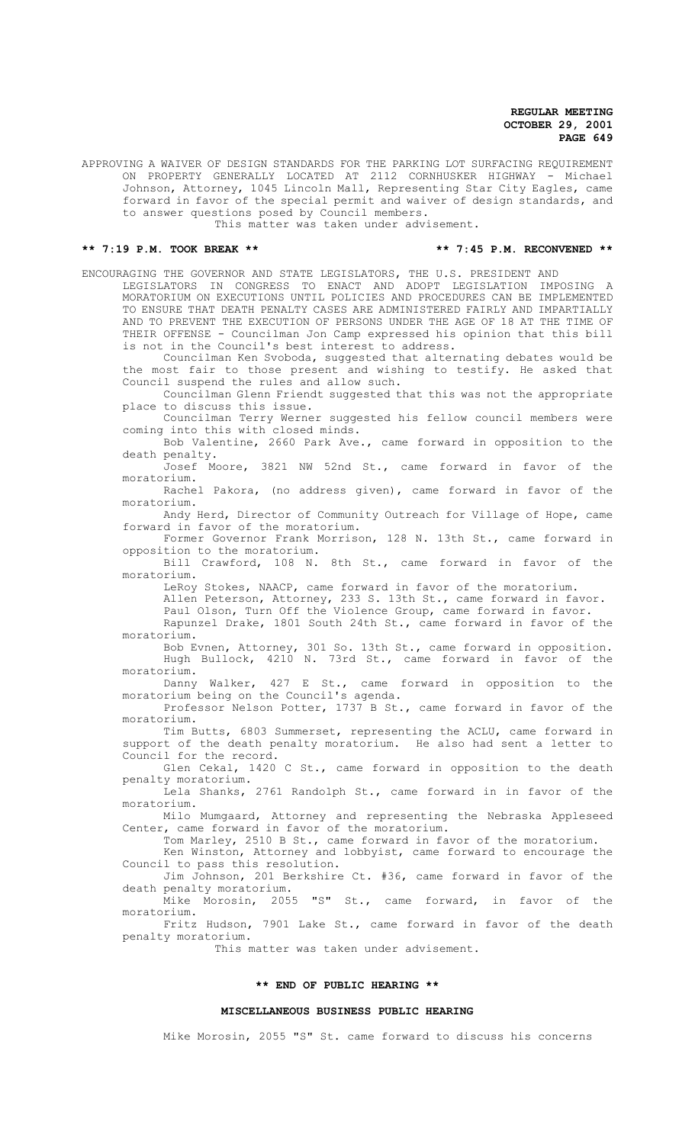APPROVING A WAIVER OF DESIGN STANDARDS FOR THE PARKING LOT SURFACING REQUIREMENT ON PROPERTY GENERALLY LOCATED AT 2112 CORNHUSKER HIGHWAY - Michael Johnson, Attorney, 1045 Lincoln Mall, Representing Star City Eagles, came forward in favor of the special permit and waiver of design standards, and to answer questions posed by Council members.

This matter was taken under advisement.

#### **\*\* 7:19 P.M. TOOK BREAK \*\* \*\* 7:45 P.M. RECONVENED \*\***

ENCOURAGING THE GOVERNOR AND STATE LEGISLATORS, THE U.S. PRESIDENT AND

LEGISLATORS IN CONGRESS TO ENACT AND ADOPT LEGISLATION IMPOSING A MORATORIUM ON EXECUTIONS UNTIL POLICIES AND PROCEDURES CAN BE IMPLEMENTED TO ENSURE THAT DEATH PENALTY CASES ARE ADMINISTERED FAIRLY AND IMPARTIALLY AND TO PREVENT THE EXECUTION OF PERSONS UNDER THE AGE OF 18 AT THE TIME OF THEIR OFFENSE - Councilman Jon Camp expressed his opinion that this bill is not in the Council's best interest to address.

Councilman Ken Svoboda, suggested that alternating debates would be the most fair to those present and wishing to testify. He asked that Council suspend the rules and allow such.

Councilman Glenn Friendt suggested that this was not the appropriate place to discuss this issue.

Councilman Terry Werner suggested his fellow council members were coming into this with closed minds.

Bob Valentine, 2660 Park Ave., came forward in opposition to the death penalty.

Josef Moore, 3821 NW 52nd St., came forward in favor of the moratorium.

Rachel Pakora, (no address given), came forward in favor of the moratorium.

Andy Herd, Director of Community Outreach for Village of Hope, came forward in favor of the moratorium.

Former Governor Frank Morrison, 128 N. 13th St., came forward in opposition to the moratorium.

Bill Crawford, 108 N. 8th St., came forward in favor of the moratorium.

LeRoy Stokes, NAACP, came forward in favor of the moratorium.

Allen Peterson, Attorney, 233 S. 13th St., came forward in favor.

Paul Olson, Turn Off the Violence Group, came forward in favor.

Rapunzel Drake, 1801 South 24th St., came forward in favor of the moratorium.

Bob Evnen, Attorney, 301 So. 13th St., came forward in opposition. Hugh Bullock, 4210 N. 73rd St., came forward in favor of the moratorium.

Danny Walker, 427 E St., came forward in opposition to the moratorium being on the Council's agenda.

Professor Nelson Potter, 1737 B St., came forward in favor of the moratorium.

Tim Butts, 6803 Summerset, representing the ACLU, came forward in support of the death penalty moratorium. He also had sent a letter to Council for the record.

Glen Cekal, 1420 C St., came forward in opposition to the death penalty moratorium.

Lela Shanks, 2761 Randolph St., came forward in in favor of the moratorium.

Milo Mumgaard, Attorney and representing the Nebraska Appleseed Center, came forward in favor of the moratorium.

Tom Marley, 2510 B St., came forward in favor of the moratorium.

Ken Winston, Attorney and lobbyist, came forward to encourage the Council to pass this resolution. Jim Johnson, 201 Berkshire Ct. #36, came forward in favor of the

death penalty moratorium.<br>Mike Morosin, 2055 "S" St., came forward, in favor of the

moratorium.

Fritz Hudson, 7901 Lake St., came forward in favor of the death penalty moratorium.

This matter was taken under advisement.

#### **\*\* END OF PUBLIC HEARING \*\***

#### **MISCELLANEOUS BUSINESS PUBLIC HEARING**

Mike Morosin, 2055 "S" St. came forward to discuss his concerns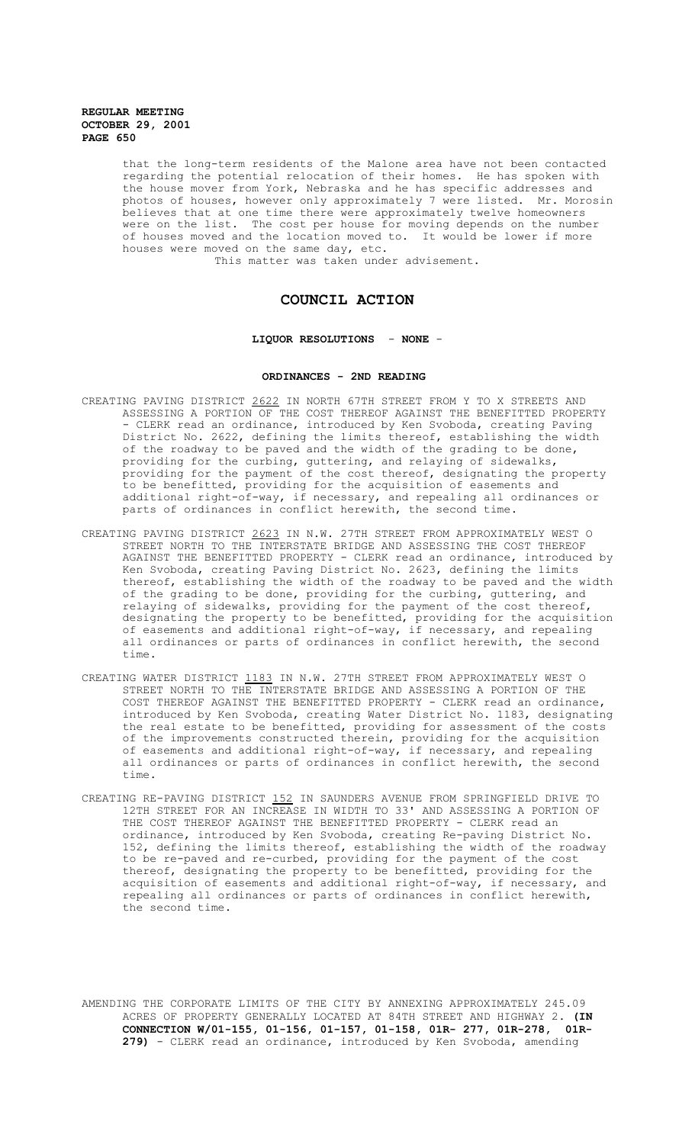that the long-term residents of the Malone area have not been contacted regarding the potential relocation of their homes. He has spoken with the house mover from York, Nebraska and he has specific addresses and photos of houses, however only approximately 7 were listed. Mr. Morosin believes that at one time there were approximately twelve homeowners were on the list. The cost per house for moving depends on the number of houses moved and the location moved to. It would be lower if more houses were moved on the same day, etc.

This matter was taken under advisement.

# **COUNCIL ACTION**

# **LIQUOR RESOLUTIONS** - **NONE** -

## **ORDINANCES - 2ND READING**

- CREATING PAVING DISTRICT 2622 IN NORTH 67TH STREET FROM Y TO X STREETS AND ASSESSING A PORTION OF THE COST THEREOF AGAINST THE BENEFITTED PROPERTY - CLERK read an ordinance, introduced by Ken Svoboda, creating Paving District No. 2622, defining the limits thereof, establishing the width of the roadway to be paved and the width of the grading to be done, providing for the curbing, guttering, and relaying of sidewalks, providing for the payment of the cost thereof, designating the property to be benefitted, providing for the acquisition of easements and additional right-of-way, if necessary, and repealing all ordinances or parts of ordinances in conflict herewith, the second time.
- CREATING PAVING DISTRICT 2623 IN N.W. 27TH STREET FROM APPROXIMATELY WEST O STREET NORTH TO THE INTERSTATE BRIDGE AND ASSESSING THE COST THEREOF AGAINST THE BENEFITTED PROPERTY - CLERK read an ordinance, introduced by Ken Svoboda, creating Paving District No. 2623, defining the limits thereof, establishing the width of the roadway to be paved and the width of the grading to be done, providing for the curbing, guttering, and relaying of sidewalks, providing for the payment of the cost thereof, designating the property to be benefitted, providing for the acquisition of easements and additional right-of-way, if necessary, and repealing all ordinances or parts of ordinances in conflict herewith, the second time.
- CREATING WATER DISTRICT 1183 IN N.W. 27TH STREET FROM APPROXIMATELY WEST O STREET NORTH TO THE INTERSTATE BRIDGE AND ASSESSING A PORTION OF THE COST THEREOF AGAINST THE BENEFITTED PROPERTY - CLERK read an ordinance, introduced by Ken Svoboda, creating Water District No. 1183, designating the real estate to be benefitted, providing for assessment of the costs of the improvements constructed therein, providing for the acquisition of easements and additional right-of-way, if necessary, and repealing all ordinances or parts of ordinances in conflict herewith, the second time.
- CREATING RE-PAVING DISTRICT 152 IN SAUNDERS AVENUE FROM SPRINGFIELD DRIVE TO 12TH STREET FOR AN INCREASE IN WIDTH TO 33' AND ASSESSING A PORTION OF THE COST THEREOF AGAINST THE BENEFITTED PROPERTY - CLERK read an ordinance, introduced by Ken Svoboda, creating Re-paving District No. 152, defining the limits thereof, establishing the width of the roadway to be re-paved and re-curbed, providing for the payment of the cost thereof, designating the property to be benefitted, providing for the acquisition of easements and additional right-of-way, if necessary, and repealing all ordinances or parts of ordinances in conflict herewith, the second time.

AMENDING THE CORPORATE LIMITS OF THE CITY BY ANNEXING APPROXIMATELY 245.09 ACRES OF PROPERTY GENERALLY LOCATED AT 84TH STREET AND HIGHWAY 2. **(IN CONNECTION W/01-155, 01-156, 01-157, 01-158, 01R- 277, 01R-278, 01R-279)** - CLERK read an ordinance, introduced by Ken Svoboda, amending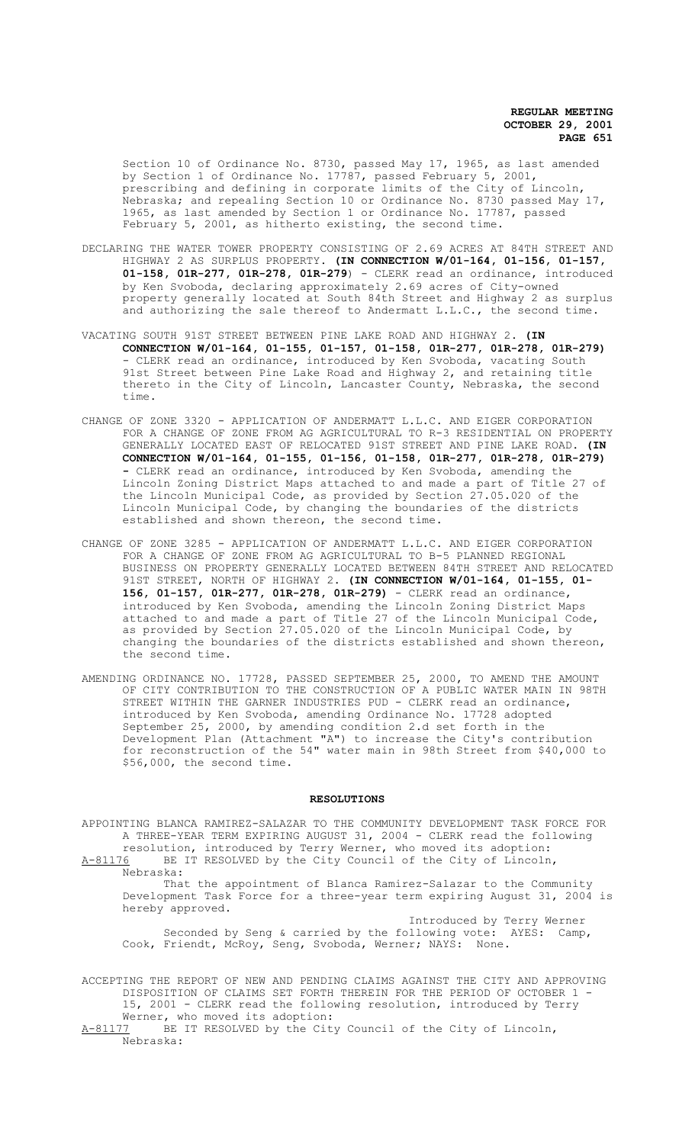Section 10 of Ordinance No. 8730, passed May 17, 1965, as last amended by Section 1 of Ordinance No. 17787, passed February 5, 2001, prescribing and defining in corporate limits of the City of Lincoln, Nebraska; and repealing Section 10 or Ordinance No. 8730 passed May 17, 1965, as last amended by Section 1 or Ordinance No. 17787, passed February 5, 2001, as hitherto existing, the second time.

- DECLARING THE WATER TOWER PROPERTY CONSISTING OF 2.69 ACRES AT 84TH STREET AND HIGHWAY 2 AS SURPLUS PROPERTY. **(IN CONNECTION W/01-164, 01-156, 01-157, 01-158, 01R-277, 01R-278, 01R-279**) - CLERK read an ordinance, introduced by Ken Svoboda, declaring approximately 2.69 acres of City-owned property generally located at South 84th Street and Highway 2 as surplus and authorizing the sale thereof to Andermatt L.L.C., the second time.
- VACATING SOUTH 91ST STREET BETWEEN PINE LAKE ROAD AND HIGHWAY 2. **(IN CONNECTION W/01-164, 01-155, 01-157, 01-158, 01R-277, 01R-278, 01R-279)**  - CLERK read an ordinance, introduced by Ken Svoboda, vacating South 91st Street between Pine Lake Road and Highway 2, and retaining title thereto in the City of Lincoln, Lancaster County, Nebraska, the second time.
- CHANGE OF ZONE 3320 APPLICATION OF ANDERMATT L.L.C. AND EIGER CORPORATION FOR A CHANGE OF ZONE FROM AG AGRICULTURAL TO R-3 RESIDENTIAL ON PROPERTY GENERALLY LOCATED EAST OF RELOCATED 91ST STREET AND PINE LAKE ROAD. **(IN CONNECTION W/01-164, 01-155, 01-156, 01-158, 01R-277, 01R-278, 01R-279) -** CLERK read an ordinance, introduced by Ken Svoboda, amending the Lincoln Zoning District Maps attached to and made a part of Title 27 of the Lincoln Municipal Code, as provided by Section 27.05.020 of the Lincoln Municipal Code, by changing the boundaries of the districts established and shown thereon, the second time.
- CHANGE OF ZONE 3285 APPLICATION OF ANDERMATT L.L.C. AND EIGER CORPORATION FOR A CHANGE OF ZONE FROM AG AGRICULTURAL TO B-5 PLANNED REGIONAL BUSINESS ON PROPERTY GENERALLY LOCATED BETWEEN 84TH STREET AND RELOCATED 91ST STREET, NORTH OF HIGHWAY 2. **(IN CONNECTION W/01-164, 01-155, 01- 156, 01-157, 01R-277, 01R-278, 01R-279)** - CLERK read an ordinance, introduced by Ken Svoboda, amending the Lincoln Zoning District Maps attached to and made a part of Title 27 of the Lincoln Municipal Code, as provided by Section 27.05.020 of the Lincoln Municipal Code, by changing the boundaries of the districts established and shown thereon, the second time.
- AMENDING ORDINANCE NO. 17728, PASSED SEPTEMBER 25, 2000, TO AMEND THE AMOUNT OF CITY CONTRIBUTION TO THE CONSTRUCTION OF A PUBLIC WATER MAIN IN 98TH STREET WITHIN THE GARNER INDUSTRIES PUD - CLERK read an ordinance, introduced by Ken Svoboda, amending Ordinance No. 17728 adopted September 25, 2000, by amending condition 2.d set forth in the Development Plan (Attachment "A") to increase the City's contribution for reconstruction of the 54" water main in 98th Street from \$40,000 to \$56,000, the second time.

#### **RESOLUTIONS**

APPOINTING BLANCA RAMIREZ-SALAZAR TO THE COMMUNITY DEVELOPMENT TASK FORCE FOR A THREE-YEAR TERM EXPIRING AUGUST 31, 2004 - CLERK read the following resolution, introduced by Terry Werner, who moved its adoption: A-81176 BE IT RESOLVED by the City Council of the City of Lincoln,

Nebraska:

That the appointment of Blanca Ramirez-Salazar to the Community Development Task Force for a three-year term expiring August 31, 2004 is hereby approved.

Introduced by Terry Werner Seconded by Seng & carried by the following vote: AYES: Camp, Cook, Friendt, McRoy, Seng, Svoboda, Werner; NAYS: None.

ACCEPTING THE REPORT OF NEW AND PENDING CLAIMS AGAINST THE CITY AND APPROVING DISPOSITION OF CLAIMS SET FORTH THEREIN FOR THE PERIOD OF OCTOBER 1 - 15, 2001 - CLERK read the following resolution, introduced by Terry Werner, who moved its adoption:

A-81177 BE IT RESOLVED by the City Council of the City of Lincoln, Nebraska: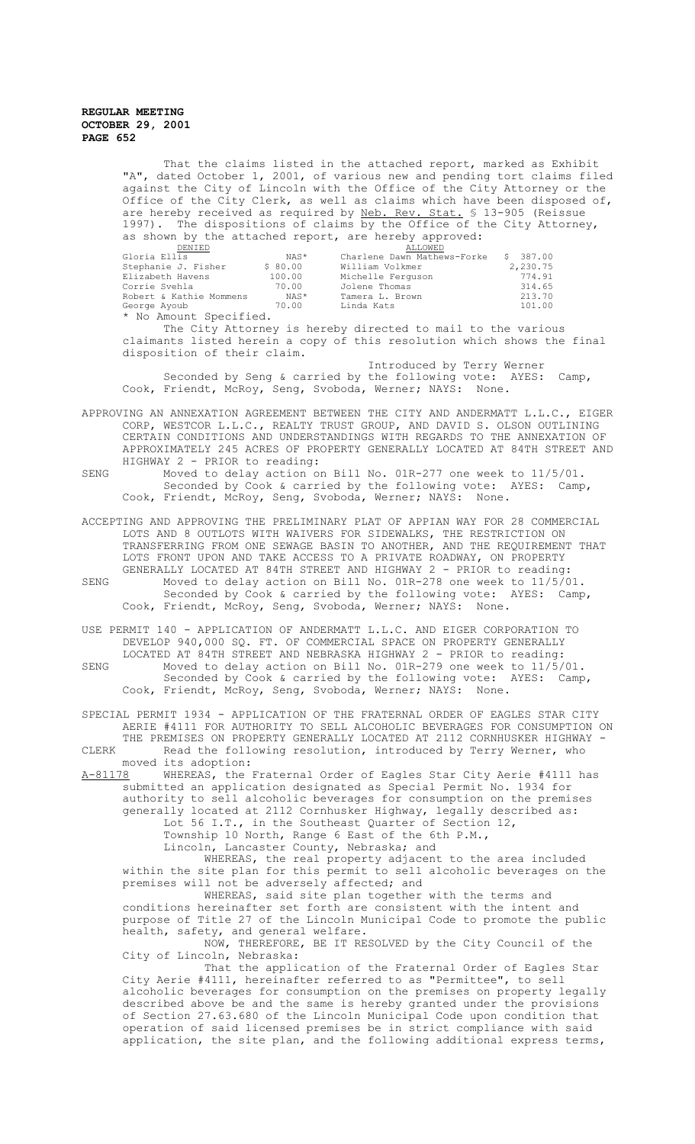That the claims listed in the attached report, marked as Exhibit "A", dated October 1, 2001, of various new and pending tort claims filed against the City of Lincoln with the Office of the City Attorney or the Office of the City Clerk, as well as claims which have been disposed of, are hereby received as required by Neb. Rev. Stat. § 13-905 (Reissue 1997). The dispositions of claims by the Office of the City Attorney, as shown by the attached report, are hereby approved:

| DENIED                  |         | ALLOWED                     |          |
|-------------------------|---------|-----------------------------|----------|
| Gloria Ellis            | NAS*    | Charlene Dawn Mathews-Forke | \$387.00 |
| Stephanie J. Fisher     | \$80.00 | William Volkmer             | 2,230.75 |
| Elizabeth Havens        | 100.00  | Michelle Ferguson           | 774.91   |
| Corrie Svehla           | 70.00   | Jolene Thomas               | 314.65   |
| Robert & Kathie Mommens | NAS*    | Tamera L. Brown             | 213.70   |
| George Ayoub            | 70.00   | Linda Kats                  | 101.00   |
| * No Amount Specified.  |         |                             |          |

The City Attorney is hereby directed to mail to the various claimants listed herein a copy of this resolution which shows the final disposition of their claim.

 Introduced by Terry Werner Seconded by Seng & carried by the following vote: AYES: Camp, Cook, Friendt, McRoy, Seng, Svoboda, Werner; NAYS: None.

APPROVING AN ANNEXATION AGREEMENT BETWEEN THE CITY AND ANDERMATT L.L.C., EIGER CORP, WESTCOR L.L.C., REALTY TRUST GROUP, AND DAVID S. OLSON OUTLINING CERTAIN CONDITIONS AND UNDERSTANDINGS WITH REGARDS TO THE ANNEXATION OF APPROXIMATELY 245 ACRES OF PROPERTY GENERALLY LOCATED AT 84TH STREET AND HIGHWAY 2 - PRIOR to reading:

SENG Moved to delay action on Bill No. 01R-277 one week to 11/5/01. Seconded by Cook & carried by the following vote: AYES: Camp, Cook, Friendt, McRoy, Seng, Svoboda, Werner; NAYS: None.

ACCEPTING AND APPROVING THE PRELIMINARY PLAT OF APPIAN WAY FOR 28 COMMERCIAL LOTS AND 8 OUTLOTS WITH WAIVERS FOR SIDEWALKS, THE RESTRICTION ON TRANSFERRING FROM ONE SEWAGE BASIN TO ANOTHER, AND THE REQUIREMENT THAT LOTS FRONT UPON AND TAKE ACCESS TO A PRIVATE ROADWAY, ON PROPERTY GENERALLY LOCATED AT 84TH STREET AND HIGHWAY 2 - PRIOR to reading: SENG Moved to delay action on Bill No. 01R-278 one week to 11/5/01. Seconded by Cook & carried by the following vote: AYES: Camp, Cook, Friendt, McRoy, Seng, Svoboda, Werner; NAYS: None.

USE PERMIT 140 - APPLICATION OF ANDERMATT L.L.C. AND EIGER CORPORATION TO DEVELOP 940,000 SQ. FT. OF COMMERCIAL SPACE ON PROPERTY GENERALLY LOCATED AT 84TH STREET AND NEBRASKA HIGHWAY 2 - PRIOR to reading: SENG Moved to delay action on Bill No. 01R-279 one week to 11/5/01. Seconded by Cook & carried by the following vote: AYES: Camp, Cook, Friendt, McRoy, Seng, Svoboda, Werner; NAYS: None.

SPECIAL PERMIT 1934 - APPLICATION OF THE FRATERNAL ORDER OF EAGLES STAR CITY AERIE #4111 FOR AUTHORITY TO SELL ALCOHOLIC BEVERAGES FOR CONSUMPTION ON THE PREMISES ON PROPERTY GENERALLY LOCATED AT 2112 CORNHUSKER HIGHWAY CLERK Read the following resolution, introduced by Terry Werner, who moved its adoption:

A-81178 WHEREAS, the Fraternal Order of Eagles Star City Aerie #4111 has submitted an application designated as Special Permit No. 1934 for authority to sell alcoholic beverages for consumption on the premises generally located at 2112 Cornhusker Highway, legally described as: Lot 56 I.T., in the Southeast Quarter of Section 12, Township 10 North, Range 6 East of the 6th P.M., Lincoln, Lancaster County, Nebraska; and

WHEREAS, the real property adjacent to the area included within the site plan for this permit to sell alcoholic beverages on the premises will not be adversely affected; and

WHEREAS, said site plan together with the terms and conditions hereinafter set forth are consistent with the intent and purpose of Title 27 of the Lincoln Municipal Code to promote the public health, safety, and general welfare.

NOW, THEREFORE, BE IT RESOLVED by the City Council of the City of Lincoln, Nebraska:

That the application of the Fraternal Order of Eagles Star City Aerie #4111, hereinafter referred to as "Permittee", to sell alcoholic beverages for consumption on the premises on property legally described above be and the same is hereby granted under the provisions of Section 27.63.680 of the Lincoln Municipal Code upon condition that operation of said licensed premises be in strict compliance with said application, the site plan, and the following additional express terms,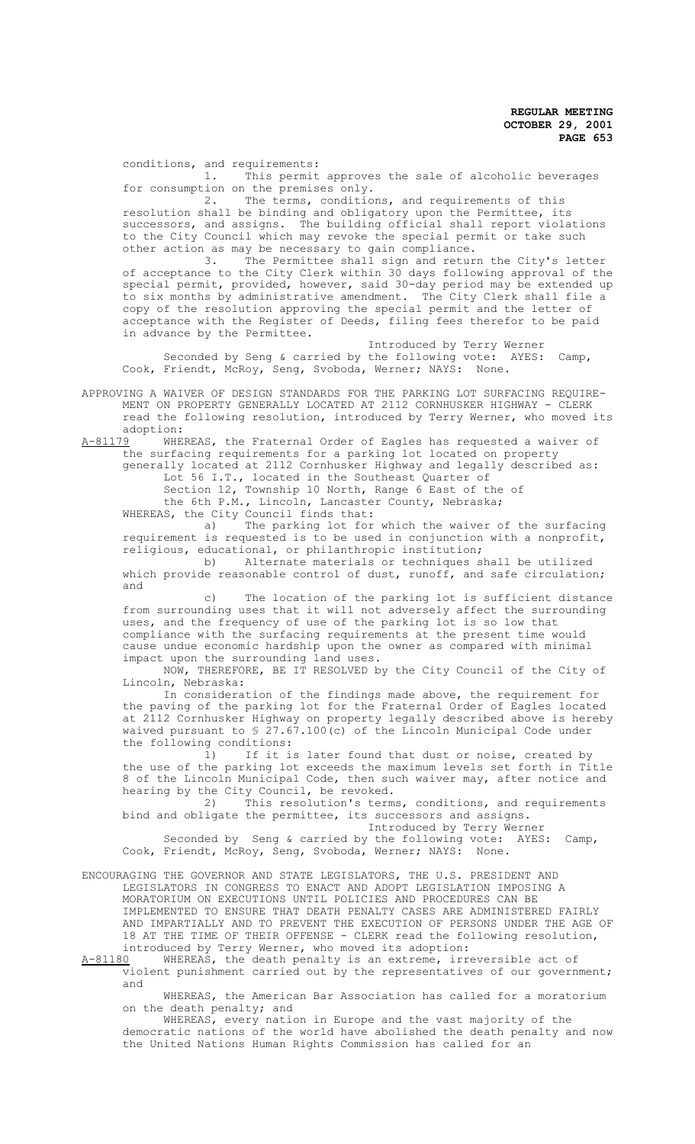conditions, and requirements:

1. This permit approves the sale of alcoholic beverages for consumption on the premises only.

2. The terms, conditions, and requirements of this resolution shall be binding and obligatory upon the Permittee, its successors, and assigns. The building official shall report violations to the City Council which may revoke the special permit or take such other action as may be necessary to gain compliance.

3. The Permittee shall sign and return the City's letter of acceptance to the City Clerk within 30 days following approval of the special permit, provided, however, said 30-day period may be extended up to six months by administrative amendment. The City Clerk shall file a copy of the resolution approving the special permit and the letter of acceptance with the Register of Deeds, filing fees therefor to be paid in advance by the Permittee.

Introduced by Terry Werner Seconded by Seng & carried by the following vote: AYES: Camp, Cook, Friendt, McRoy, Seng, Svoboda, Werner; NAYS: None.

APPROVING A WAIVER OF DESIGN STANDARDS FOR THE PARKING LOT SURFACING REQUIRE-MENT ON PROPERTY GENERALLY LOCATED AT 2112 CORNHUSKER HIGHWAY - CLERK read the following resolution, introduced by Terry Werner, who moved its adoption:<br>A-81179 WHE

WHEREAS, the Fraternal Order of Eagles has requested a waiver of the surfacing requirements for a parking lot located on property generally located at 2112 Cornhusker Highway and legally described as: Lot 56 I.T., located in the Southeast Quarter of Section 12, Township 10 North, Range 6 East of the of the 6th P.M., Lincoln, Lancaster County, Nebraska;

WHEREAS, the City Council finds that:<br>a) The parking lot for The parking lot for which the waiver of the surfacing requirement is requested is to be used in conjunction with a nonprofit, religious, educational, or philanthropic institution;

b) Alternate materials or techniques shall be utilized which provide reasonable control of dust, runoff, and safe circulation; and

c) The location of the parking lot is sufficient distance from surrounding uses that it will not adversely affect the surrounding uses, and the frequency of use of the parking lot is so low that compliance with the surfacing requirements at the present time would cause undue economic hardship upon the owner as compared with minimal impact upon the surrounding land uses.

NOW, THEREFORE, BE IT RESOLVED by the City Council of the City of Lincoln, Nebraska:

In consideration of the findings made above, the requirement for the paving of the parking lot for the Fraternal Order of Eagles located at 2112 Cornhusker Highway on property legally described above is hereby waived pursuant to § 27.67.100(c) of the Lincoln Municipal Code under the following conditions:

1) If it is later found that dust or noise, created by the use of the parking lot exceeds the maximum levels set forth in Title 8 of the Lincoln Municipal Code, then such waiver may, after notice and hearing by the City Council, be revoked.

2) This resolution's terms, conditions, and requirements bind and obligate the permittee, its successors and assigns.

Introduced by Terry Werner Seconded by Seng & carried by the following vote: AYES: Camp, Cook, Friendt, McRoy, Seng, Svoboda, Werner; NAYS: None.

ENCOURAGING THE GOVERNOR AND STATE LEGISLATORS, THE U.S. PRESIDENT AND LEGISLATORS IN CONGRESS TO ENACT AND ADOPT LEGISLATION IMPOSING A MORATORIUM ON EXECUTIONS UNTIL POLICIES AND PROCEDURES CAN BE IMPLEMENTED TO ENSURE THAT DEATH PENALTY CASES ARE ADMINISTERED FAIRLY AND IMPARTIALLY AND TO PREVENT THE EXECUTION OF PERSONS UNDER THE AGE OF 18 AT THE TIME OF THEIR OFFENSE - CLERK read the following resolution, introduced by Terry Werner, who moved its adoption:

A-81180 WHEREAS, the death penalty is an extreme, irreversible act of violent punishment carried out by the representatives of our government; and

WHEREAS, the American Bar Association has called for a moratorium on the death penalty; and

WHEREAS, every nation in Europe and the vast majority of the democratic nations of the world have abolished the death penalty and now the United Nations Human Rights Commission has called for an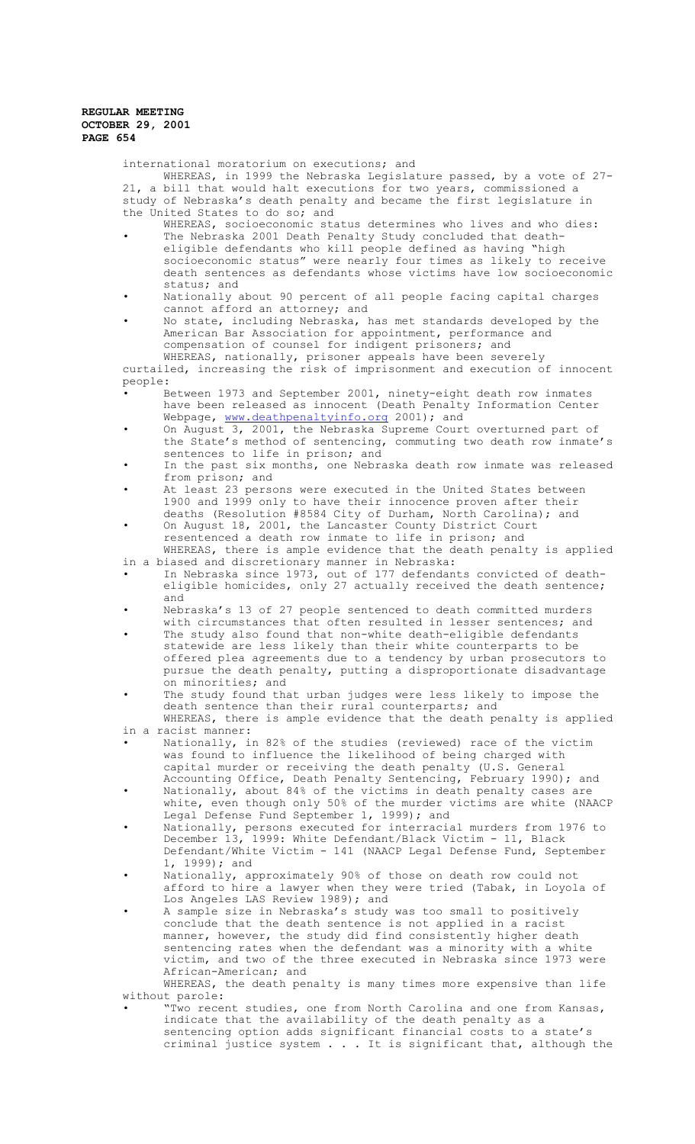international moratorium on executions; and WHEREAS, in 1999 the Nebraska Legislature passed, by a vote of 27- 21, a bill that would halt executions for two years, commissioned a study of Nebraska's death penalty and became the first legislature in the United States to do so; and

- WHEREAS, socioeconomic status determines who lives and who dies: • The Nebraska 2001 Death Penalty Study concluded that deatheligible defendants who kill people defined as having "high socioeconomic status" were nearly four times as likely to receive death sentences as defendants whose victims have low socioeconomic status; and
- Nationally about 90 percent of all people facing capital charges cannot afford an attorney; and
- No state, including Nebraska, has met standards developed by the American Bar Association for appointment, performance and compensation of counsel for indigent prisoners; and

WHEREAS, nationally, prisoner appeals have been severely curtailed, increasing the risk of imprisonment and execution of innocent people:

- Between 1973 and September 2001, ninety-eight death row inmates have been released as innocent (Death Penalty Information Center Webpage, www.deathpenaltyinfo.org 2001); and
- On August 3, 2001, the Nebraska Supreme Court overturned part of the State's method of sentencing, commuting two death row inmate's sentences to life in prison; and
- In the past six months, one Nebraska death row inmate was released from prison; and
- At least 23 persons were executed in the United States between 1900 and 1999 only to have their innocence proven after their deaths (Resolution #8584 City of Durham, North Carolina); and
- On August 18, 2001, the Lancaster County District Court resentenced a death row inmate to life in prison; and

WHEREAS, there is ample evidence that the death penalty is applied in a biased and discretionary manner in Nebraska:

- In Nebraska since 1973, out of 177 defendants convicted of deatheligible homicides, only 27 actually received the death sentence; and
- Nebraska's 13 of 27 people sentenced to death committed murders with circumstances that often resulted in lesser sentences; and
- The study also found that non-white death-eligible defendants statewide are less likely than their white counterparts to be offered plea agreements due to a tendency by urban prosecutors to pursue the death penalty, putting a disproportionate disadvantage on minorities; and
- The study found that urban judges were less likely to impose the death sentence than their rural counterparts; and WHEREAS, there is ample evidence that the death penalty is applied

in a racist manner:

- Nationally, in 82% of the studies (reviewed) race of the victim was found to influence the likelihood of being charged with capital murder or receiving the death penalty (U.S. General
- Accounting Office, Death Penalty Sentencing, February 1990); and • Nationally, about 84% of the victims in death penalty cases are white, even though only 50% of the murder victims are white (NAACP Legal Defense Fund September 1, 1999); and
- Nationally, persons executed for interracial murders from 1976 to December 13, 1999: White Defendant/Black Victim - 11, Black Defendant/White Victim - 141 (NAACP Legal Defense Fund, September 1, 1999); and
- Nationally, approximately 90% of those on death row could not afford to hire a lawyer when they were tried (Tabak, in Loyola of Los Angeles LAS Review 1989); and
- A sample size in Nebraska's study was too small to positively conclude that the death sentence is not applied in a racist manner, however, the study did find consistently higher death sentencing rates when the defendant was a minority with a white victim, and two of the three executed in Nebraska since 1973 were African-American; and

WHEREAS, the death penalty is many times more expensive than life without parole:

"Two recent studies, one from North Carolina and one from Kansas, indicate that the availability of the death penalty as a sentencing option adds significant financial costs to a state's criminal justice system . . . It is significant that, although the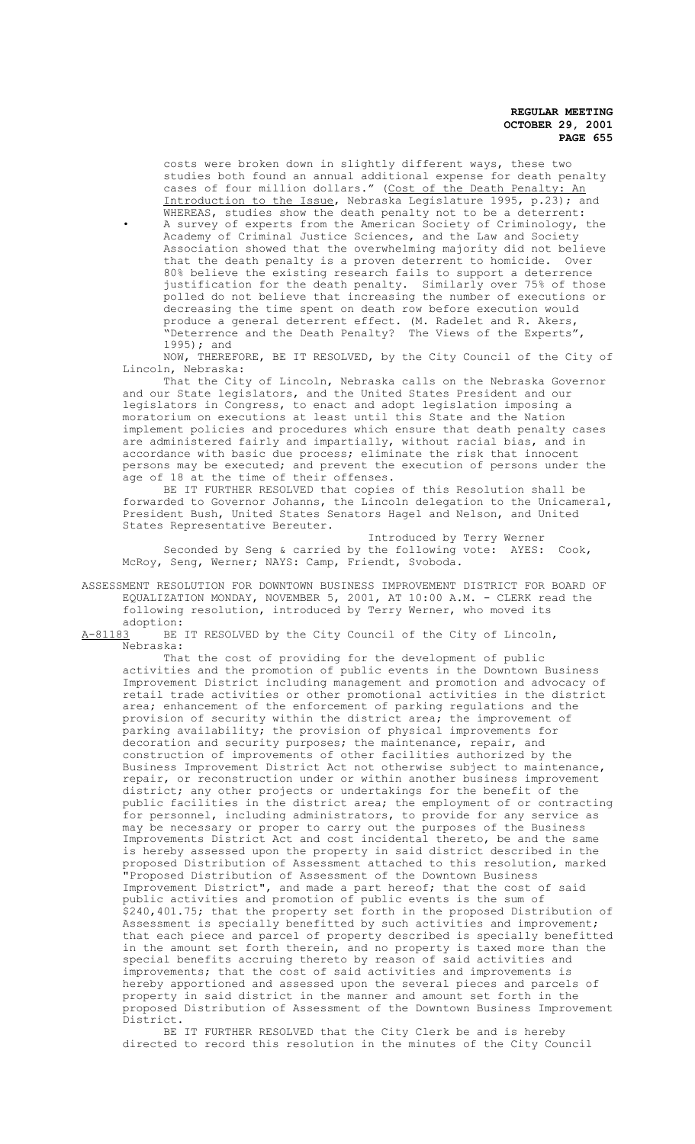costs were broken down in slightly different ways, these two studies both found an annual additional expense for death penalty cases of four million dollars." (Cost of the Death Penalty: An Introduction to the Issue, Nebraska Legislature 1995, p.23); and WHEREAS, studies show the death penalty not to be a deterrent: • A survey of experts from the American Society of Criminology, the Academy of Criminal Justice Sciences, and the Law and Society Association showed that the overwhelming majority did not believe that the death penalty is a proven deterrent to homicide. Over 80% believe the existing research fails to support a deterrence justification for the death penalty. Similarly over 75% of those polled do not believe that increasing the number of executions or decreasing the time spent on death row before execution would produce a general deterrent effect. (M. Radelet and R. Akers, "Deterrence and the Death Penalty? The Views of the Experts", 1995); and

NOW, THEREFORE, BE IT RESOLVED, by the City Council of the City of Lincoln, Nebraska:

That the City of Lincoln, Nebraska calls on the Nebraska Governor and our State legislators, and the United States President and our legislators in Congress, to enact and adopt legislation imposing a moratorium on executions at least until this State and the Nation implement policies and procedures which ensure that death penalty cases are administered fairly and impartially, without racial bias, and in accordance with basic due process; eliminate the risk that innocent persons may be executed; and prevent the execution of persons under the age of 18 at the time of their offenses.

BE IT FURTHER RESOLVED that copies of this Resolution shall be forwarded to Governor Johanns, the Lincoln delegation to the Unicameral, President Bush, United States Senators Hagel and Nelson, and United States Representative Bereuter.

Introduced by Terry Werner Seconded by Seng & carried by the following vote: AYES: Cook, McRoy, Seng, Werner; NAYS: Camp, Friendt, Svoboda.

ASSESSMENT RESOLUTION FOR DOWNTOWN BUSINESS IMPROVEMENT DISTRICT FOR BOARD OF EQUALIZATION MONDAY, NOVEMBER 5, 2001, AT 10:00 A.M. - CLERK read the following resolution, introduced by Terry Werner, who moved its

adoption:<br>A-81183 BE BE IT RESOLVED by the City Council of the City of Lincoln, Nebraska:

That the cost of providing for the development of public activities and the promotion of public events in the Downtown Business Improvement District including management and promotion and advocacy of retail trade activities or other promotional activities in the district area; enhancement of the enforcement of parking regulations and the provision of security within the district area; the improvement of parking availability; the provision of physical improvements for decoration and security purposes; the maintenance, repair, and construction of improvements of other facilities authorized by the Business Improvement District Act not otherwise subject to maintenance, repair, or reconstruction under or within another business improvement district; any other projects or undertakings for the benefit of the public facilities in the district area; the employment of or contracting for personnel, including administrators, to provide for any service as may be necessary or proper to carry out the purposes of the Business Improvements District Act and cost incidental thereto, be and the same is hereby assessed upon the property in said district described in the proposed Distribution of Assessment attached to this resolution, marked "Proposed Distribution of Assessment of the Downtown Business Improvement District", and made a part hereof; that the cost of said public activities and promotion of public events is the sum of \$240,401.75; that the property set forth in the proposed Distribution of Assessment is specially benefitted by such activities and improvement; that each piece and parcel of property described is specially benefitted in the amount set forth therein, and no property is taxed more than the special benefits accruing thereto by reason of said activities and improvements; that the cost of said activities and improvements is hereby apportioned and assessed upon the several pieces and parcels of property in said district in the manner and amount set forth in the proposed Distribution of Assessment of the Downtown Business Improvement District.

BE IT FURTHER RESOLVED that the City Clerk be and is hereby directed to record this resolution in the minutes of the City Council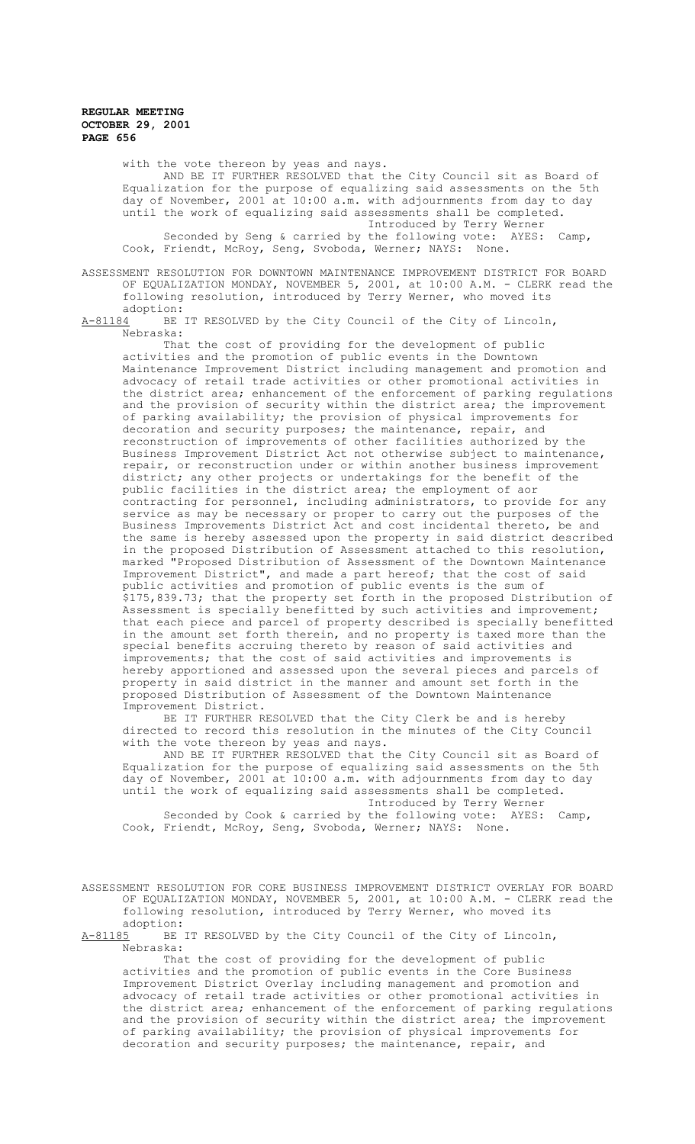with the vote thereon by yeas and nays. AND BE IT FURTHER RESOLVED that the City Council sit as Board of Equalization for the purpose of equalizing said assessments on the 5th day of November, 2001 at 10:00 a.m. with adjournments from day to day until the work of equalizing said assessments shall be completed. Introduced by Terry Werner Seconded by Seng & carried by the following vote: AYES: Camp, Cook, Friendt, McRoy, Seng, Svoboda, Werner; NAYS: None.

ASSESSMENT RESOLUTION FOR DOWNTOWN MAINTENANCE IMPROVEMENT DISTRICT FOR BOARD OF EQUALIZATION MONDAY, NOVEMBER 5, 2001, at 10:00 A.M. - CLERK read the following resolution, introduced by Terry Werner, who moved its adoption:<br>A-81184 BE

BE IT RESOLVED by the City Council of the City of Lincoln, Nebraska:

That the cost of providing for the development of public activities and the promotion of public events in the Downtown Maintenance Improvement District including management and promotion and advocacy of retail trade activities or other promotional activities in the district area; enhancement of the enforcement of parking regulations and the provision of security within the district area; the improvement of parking availability; the provision of physical improvements for decoration and security purposes; the maintenance, repair, and reconstruction of improvements of other facilities authorized by the Business Improvement District Act not otherwise subject to maintenance, repair, or reconstruction under or within another business improvement district; any other projects or undertakings for the benefit of the public facilities in the district area; the employment of aor contracting for personnel, including administrators, to provide for any service as may be necessary or proper to carry out the purposes of the Business Improvements District Act and cost incidental thereto, be and the same is hereby assessed upon the property in said district described in the proposed Distribution of Assessment attached to this resolution, marked "Proposed Distribution of Assessment of the Downtown Maintenance Improvement District", and made a part hereof; that the cost of said public activities and promotion of public events is the sum of \$175,839.73; that the property set forth in the proposed Distribution of Assessment is specially benefitted by such activities and improvement; that each piece and parcel of property described is specially benefitted in the amount set forth therein, and no property is taxed more than the special benefits accruing thereto by reason of said activities and improvements; that the cost of said activities and improvements is hereby apportioned and assessed upon the several pieces and parcels of property in said district in the manner and amount set forth in the proposed Distribution of Assessment of the Downtown Maintenance Improvement District.

BE IT FURTHER RESOLVED that the City Clerk be and is hereby directed to record this resolution in the minutes of the City Council with the vote thereon by yeas and nays.

AND BE IT FURTHER RESOLVED that the City Council sit as Board of Equalization for the purpose of equalizing said assessments on the 5th day of November, 2001 at 10:00 a.m. with adjournments from day to day until the work of equalizing said assessments shall be completed. Introduced by Terry Werner

Seconded by Cook & carried by the following vote: AYES: Camp, Cook, Friendt, McRoy, Seng, Svoboda, Werner; NAYS: None.

ASSESSMENT RESOLUTION FOR CORE BUSINESS IMPROVEMENT DISTRICT OVERLAY FOR BOARD OF EQUALIZATION MONDAY, NOVEMBER 5, 2001, at 10:00 A.M. - CLERK read the following resolution, introduced by Terry Werner, who moved its adoption:<br>A-81185 BE

BE IT RESOLVED by the City Council of the City of Lincoln, Nebraska:

That the cost of providing for the development of public activities and the promotion of public events in the Core Business Improvement District Overlay including management and promotion and advocacy of retail trade activities or other promotional activities in the district area; enhancement of the enforcement of parking regulations and the provision of security within the district area; the improvement of parking availability; the provision of physical improvements for decoration and security purposes; the maintenance, repair, and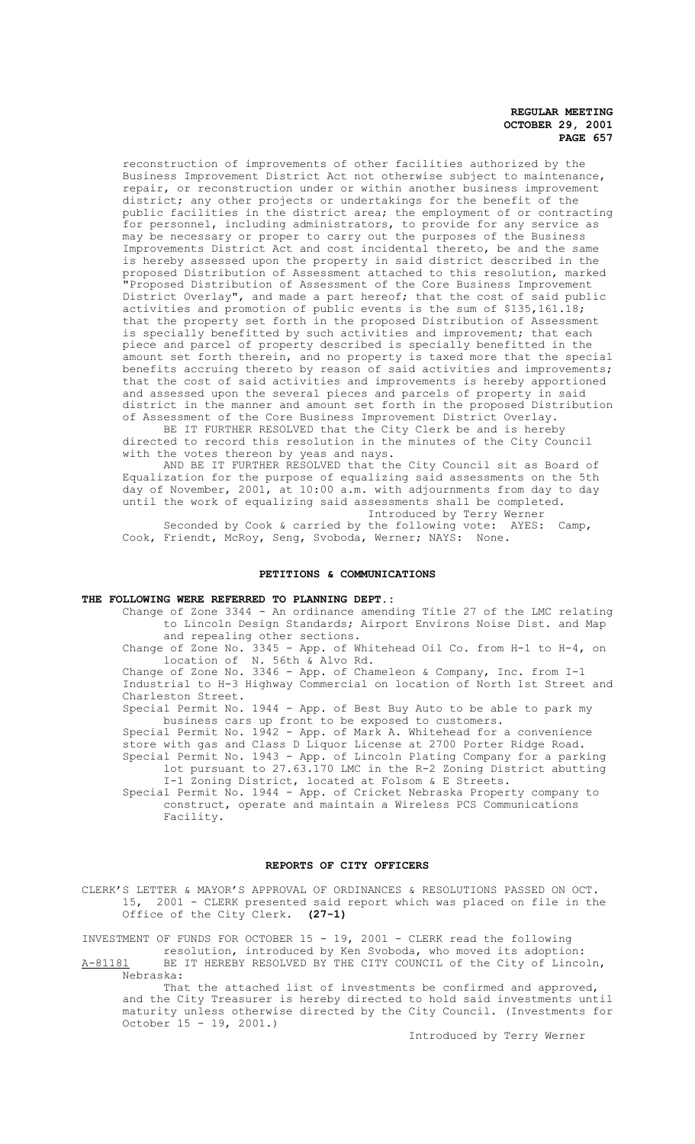reconstruction of improvements of other facilities authorized by the Business Improvement District Act not otherwise subject to maintenance, repair, or reconstruction under or within another business improvement district; any other projects or undertakings for the benefit of the public facilities in the district area; the employment of or contracting for personnel, including administrators, to provide for any service as may be necessary or proper to carry out the purposes of the Business Improvements District Act and cost incidental thereto, be and the same is hereby assessed upon the property in said district described in the proposed Distribution of Assessment attached to this resolution, marked "Proposed Distribution of Assessment of the Core Business Improvement District Overlay", and made a part hereof; that the cost of said public activities and promotion of public events is the sum of \$135,161.18; that the property set forth in the proposed Distribution of Assessment is specially benefitted by such activities and improvement; that each piece and parcel of property described is specially benefitted in the amount set forth therein, and no property is taxed more that the special benefits accruing thereto by reason of said activities and improvements; that the cost of said activities and improvements is hereby apportioned and assessed upon the several pieces and parcels of property in said district in the manner and amount set forth in the proposed Distribution of Assessment of the Core Business Improvement District Overlay.

BE IT FURTHER RESOLVED that the City Clerk be and is hereby directed to record this resolution in the minutes of the City Council with the votes thereon by yeas and nays.

AND BE IT FURTHER RESOLVED that the City Council sit as Board of Equalization for the purpose of equalizing said assessments on the 5th day of November, 2001, at 10:00 a.m. with adjournments from day to day until the work of equalizing said assessments shall be completed. Introduced by Terry Werner

Seconded by Cook & carried by the following vote: AYES: Camp, Cook, Friendt, McRoy, Seng, Svoboda, Werner; NAYS: None.

#### **PETITIONS & COMMUNICATIONS**

## **THE FOLLOWING WERE REFERRED TO PLANNING DEPT.:**

Change of Zone 3344 - An ordinance amending Title 27 of the LMC relating to Lincoln Design Standards; Airport Environs Noise Dist. and Map and repealing other sections.

Change of Zone No. 3345 - App. of Whitehead Oil Co. from H-1 to H-4, on location of N. 56th & Alvo Rd.

Change of Zone No. 3346 - App. of Chameleon & Company, Inc. from I-1 Industrial to H-3 Highway Commercial on location of North 1st Street and Charleston Street.

Special Permit No. 1944 - App. of Best Buy Auto to be able to park my business cars up front to be exposed to customers.

Special Permit No. 1942 - App. of Mark A. Whitehead for a convenience store with gas and Class D Liquor License at 2700 Porter Ridge Road. Special Permit No. 1943 - App. of Lincoln Plating Company for a parking lot pursuant to 27.63.170 LMC in the R-2 Zoning District abutting I-1 Zoning District, located at Folsom & E Streets.

Special Permit No. 1944 - App. of Cricket Nebraska Property company to construct, operate and maintain a Wireless PCS Communications Facility.

#### **REPORTS OF CITY OFFICERS**

CLERK'S LETTER & MAYOR'S APPROVAL OF ORDINANCES & RESOLUTIONS PASSED ON OCT. 15, 2001 - CLERK presented said report which was placed on file in the Office of the City Clerk. **(27-1)**

INVESTMENT OF FUNDS FOR OCTOBER 15 - 19, 2001 - CLERK read the following resolution, introduced by Ken Svoboda, who moved its adoption: A-81181 BE IT HEREBY RESOLVED BY THE CITY COUNCIL of the City of Lincoln, Nebraska:

That the attached list of investments be confirmed and approved, and the City Treasurer is hereby directed to hold said investments until maturity unless otherwise directed by the City Council. (Investments for October 15 - 19, 2001.)

Introduced by Terry Werner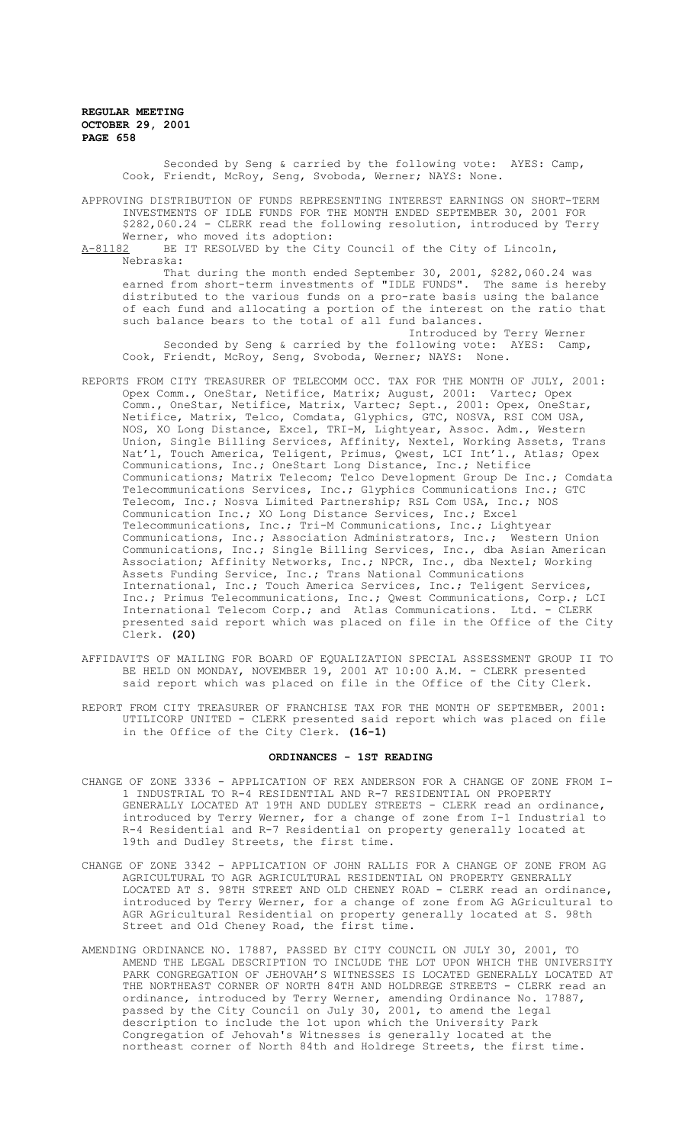> Seconded by Seng & carried by the following vote: AYES: Camp, Cook, Friendt, McRoy, Seng, Svoboda, Werner; NAYS: None.

APPROVING DISTRIBUTION OF FUNDS REPRESENTING INTEREST EARNINGS ON SHORT-TERM INVESTMENTS OF IDLE FUNDS FOR THE MONTH ENDED SEPTEMBER 30, 2001 FOR \$282,060.24 - CLERK read the following resolution, introduced by Terry Werner, who moved its adoption:<br>A-81182 BE IT RESOLVED by the Cit

BE IT RESOLVED by the City Council of the City of Lincoln, Nebraska:

That during the month ended September 30, 2001, \$282,060.24 was earned from short-term investments of "IDLE FUNDS". The same is hereby distributed to the various funds on a pro-rate basis using the balance of each fund and allocating a portion of the interest on the ratio that such balance bears to the total of all fund balances.

Introduced by Terry Werner Seconded by Seng & carried by the following vote: AYES: Camp, Cook, Friendt, McRoy, Seng, Svoboda, Werner; NAYS: None.

- REPORTS FROM CITY TREASURER OF TELECOMM OCC. TAX FOR THE MONTH OF JULY, 2001: Opex Comm., OneStar, Netifice, Matrix; August, 2001: Vartec; Opex Comm., OneStar, Netifice, Matrix, Vartec; Sept., 2001: Opex, OneStar, Netifice, Matrix, Telco, Comdata, Glyphics, GTC, NOSVA, RSI COM USA, NOS, XO Long Distance, Excel, TRI-M, Lightyear, Assoc. Adm., Western Union, Single Billing Services, Affinity, Nextel, Working Assets, Trans Nat'l, Touch America, Teligent, Primus, Qwest, LCI Int'l., Atlas; Opex Communications, Inc.; OneStart Long Distance, Inc.; Netifice Communications; Matrix Telecom; Telco Development Group De Inc.; Comdata Telecommunications Services, Inc.; Glyphics Communications Inc.; GTC Telecom, Inc.; Nosva Limited Partnership; RSL Com USA, Inc.; NOS Communication Inc.; XO Long Distance Services, Inc.; Excel Telecommunications, Inc.; Tri-M Communications, Inc.; Lightyear Communications, Inc.; Association Administrators, Inc.; Western Union<br>Communications, Inc.; Single Billing Services, Inc., dba Asian American Communications, Inc.; Single Billing Services, Inc., dba Asian American Association; Affinity Networks, Inc.; NPCR, Inc., dba Nextel; Working Assets Funding Service, Inc.; Trans National Communications International, Inc.; Touch America Services, Inc.; Teligent Services, Inc.; Primus Telecommunications, Inc.; Qwest Communications, Corp.; LCI International Telecom Corp.; and Atlas Communications. Ltd. - CLERK presented said report which was placed on file in the Office of the City Clerk. **(20)**
- AFFIDAVITS OF MAILING FOR BOARD OF EQUALIZATION SPECIAL ASSESSMENT GROUP II TO BE HELD ON MONDAY, NOVEMBER 19, 2001 AT 10:00 A.M. - CLERK presented said report which was placed on file in the Office of the City Clerk.
- REPORT FROM CITY TREASURER OF FRANCHISE TAX FOR THE MONTH OF SEPTEMBER, 2001: UTILICORP UNITED - CLERK presented said report which was placed on file in the Office of the City Clerk. **(16-1)**

#### **ORDINANCES - 1ST READING**

- CHANGE OF ZONE 3336 APPLICATION OF REX ANDERSON FOR A CHANGE OF ZONE FROM I-1 INDUSTRIAL TO R-4 RESIDENTIAL AND R-7 RESIDENTIAL ON PROPERTY GENERALLY LOCATED AT 19TH AND DUDLEY STREETS - CLERK read an ordinance, introduced by Terry Werner, for a change of zone from I-1 Industrial to R-4 Residential and R-7 Residential on property generally located at 19th and Dudley Streets, the first time.
- CHANGE OF ZONE 3342 APPLICATION OF JOHN RALLIS FOR A CHANGE OF ZONE FROM AG AGRICULTURAL TO AGR AGRICULTURAL RESIDENTIAL ON PROPERTY GENERALLY LOCATED AT S. 98TH STREET AND OLD CHENEY ROAD - CLERK read an ordinance, introduced by Terry Werner, for a change of zone from AG AGricultural to AGR AGricultural Residential on property generally located at S. 98th Street and Old Cheney Road, the first time.
- AMENDING ORDINANCE NO. 17887, PASSED BY CITY COUNCIL ON JULY 30, 2001, TO AMEND THE LEGAL DESCRIPTION TO INCLUDE THE LOT UPON WHICH THE UNIVERSITY PARK CONGREGATION OF JEHOVAH'S WITNESSES IS LOCATED GENERALLY LOCATED AT THE NORTHEAST CORNER OF NORTH 84TH AND HOLDREGE STREETS - CLERK read an ordinance, introduced by Terry Werner, amending Ordinance No. 17887, passed by the City Council on July 30, 2001, to amend the legal description to include the lot upon which the University Park Congregation of Jehovah's Witnesses is generally located at the northeast corner of North 84th and Holdrege Streets, the first time.